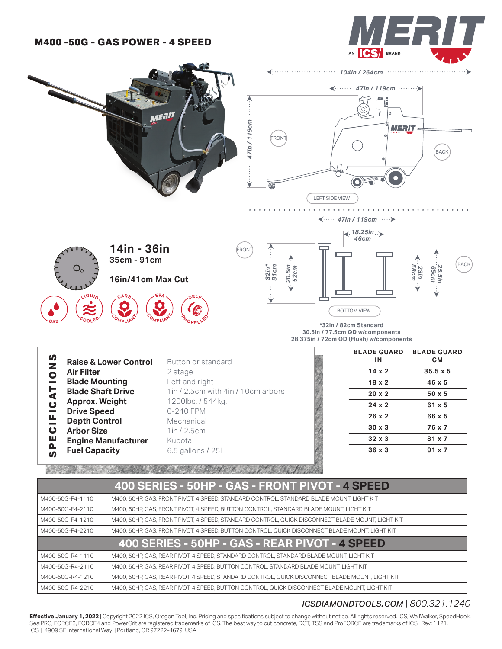# **M400 -50G - GAS POWER - 4 SPEED**





M400-50G-R4-1210 M400, 50HP, GAS, REAR PIVOT, 4 SPEED, STANDARD CONTROL, QUICK DISCONNECT BLADE MOUNT, LIGHT KIT

#### M400-50G-R4-2210 M400, 50HP, GAS, REAR PIVOT, 4 SPEED, BUTTON CONTROL, QUICK DISCONNECT BLADE MOUNT, LIGHT KIT

### *icsdiamondtools.com* | *800.321.1240*

**Effective January 1, 2022** | Copyright 2022 ICS, Oregon Tool, Inc. Pricing and specifications subject to change without notice. All rights reserved. ICS, WallWalker, SpeedHook, SealPRO, FORCE3, FORCE4 and PowerGrit are registered trademarks of ICS. The best way to cut concrete, DCT, TSS and ProFORCE are trademarks of ICS. Rev: 1121. ICS | 4909 SE International Way | Portland, OR 97222-4679 USA